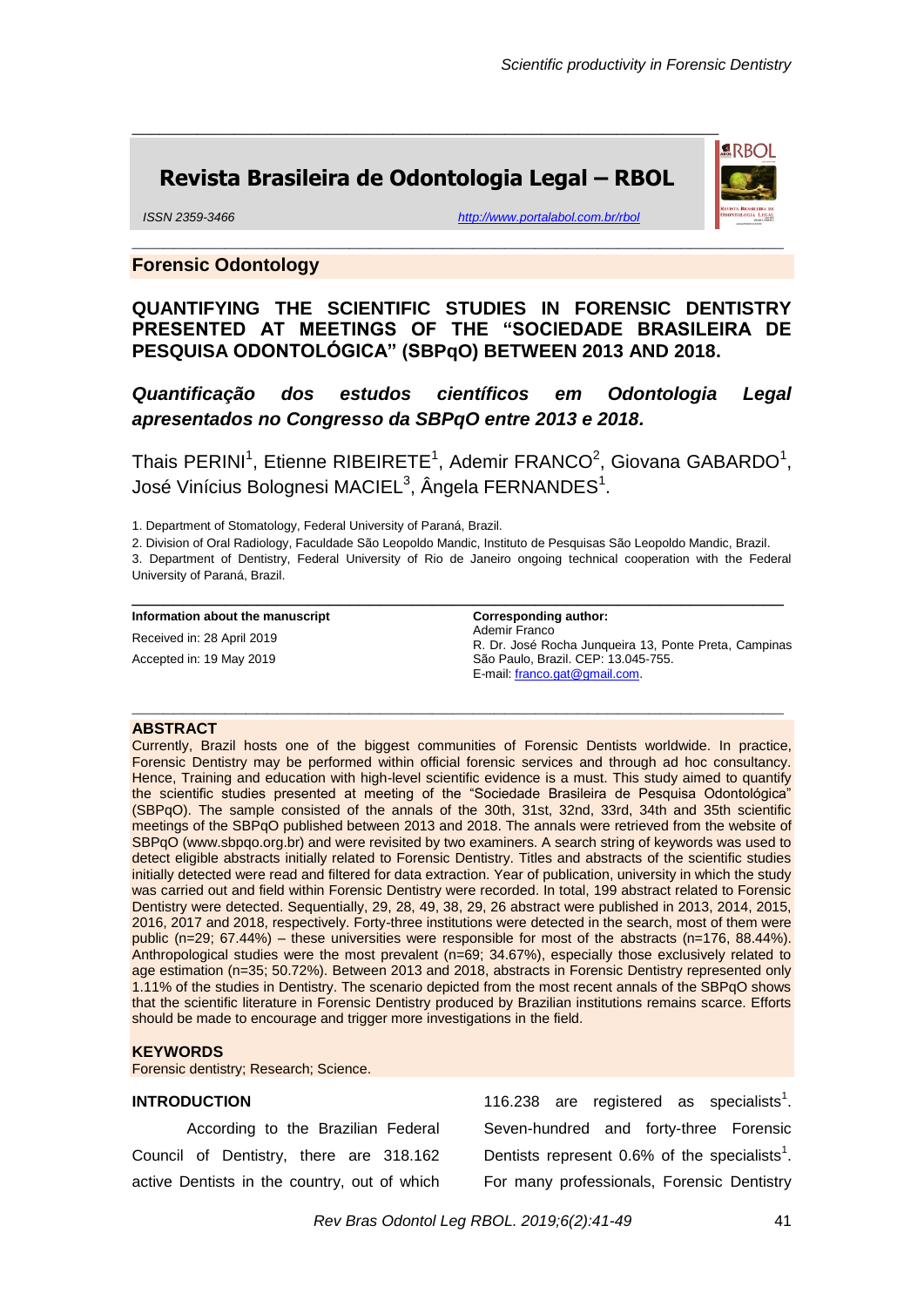**ERBOI** 

# **Revista Brasileira de Odontologia Legal – RBOL**

\_\_\_\_\_\_\_\_\_\_\_\_\_\_\_\_\_\_\_\_\_\_\_\_\_\_\_\_\_\_\_\_\_\_\_\_\_\_\_\_\_\_\_\_\_\_\_\_\_\_\_\_\_\_\_\_\_\_\_\_\_\_\_

*ISSN 2359-3466 <http://www.portalabol.com.br/rbol>*

# **Forensic Odontology**

**QUANTIFYING THE SCIENTIFIC STUDIES IN FORENSIC DENTISTRY PRESENTED AT MEETINGS OF THE "SOCIEDADE BRASILEIRA DE PESQUISA ODONTOLÓGICA" (SBPqO) BETWEEN 2013 AND 2018.**

**\_\_\_\_\_\_\_\_\_\_\_\_\_\_\_\_\_\_\_\_\_\_\_\_\_\_\_\_\_\_\_\_\_\_\_\_\_\_\_\_\_\_\_\_\_\_\_\_\_\_\_\_\_\_\_\_\_\_\_\_\_\_\_**

*Quantificação dos estudos científicos em Odontologia Legal apresentados no Congresso da SBPqO entre 2013 e 2018.*

Thais PERINI<sup>1</sup>, Etienne RIBEIRETE<sup>1</sup>, Ademir FRANCO<sup>2</sup>, Giovana GABARDO<sup>1</sup>, José Vinícius Bolognesi MACIEL $^3$ , Ângela FERNANDES $^1$ .

1. Department of Stomatology, Federal University of Paraná, Brazil.

2. Division of Oral Radiology, Faculdade São Leopoldo Mandic, Instituto de Pesquisas São Leopoldo Mandic, Brazil. 3. Department of Dentistry, Federal University of Rio de Janeiro ongoing technical cooperation with the Federal

\_\_\_\_\_\_\_\_\_\_\_\_\_\_\_\_\_\_\_\_\_\_\_\_\_\_\_\_\_\_\_\_\_\_\_\_\_\_\_\_\_\_\_\_\_\_\_\_\_\_\_\_\_\_\_\_\_\_\_\_\_\_\_

**\_\_\_\_\_\_\_\_\_\_\_\_\_\_\_\_\_\_\_\_\_\_\_\_\_\_\_\_\_\_\_\_\_\_\_\_\_\_\_\_\_\_\_\_\_\_\_\_\_\_\_\_\_\_\_\_\_\_\_\_\_\_\_**

**Corresponding author:** 

University of Paraná, Brazil.

#### **Information about the manuscript**

Received in: 28 April 2019 Accepted in: 19 May 2019

Ademir Franco R. Dr. José Rocha Junqueira 13, Ponte Preta, Campinas São Paulo, Brazil. CEP: 13.045-755. E-mail: [franco.gat@gmail.com.](mailto:franco.gat@gmail.com)

#### **ABSTRACT**

Currently, Brazil hosts one of the biggest communities of Forensic Dentists worldwide. In practice, Forensic Dentistry may be performed within official forensic services and through ad hoc consultancy. Hence, Training and education with high-level scientific evidence is a must. This study aimed to quantify the scientific studies presented at meeting of the "Sociedade Brasileira de Pesquisa Odontológica" (SBPqO). The sample consisted of the annals of the 30th, 31st, 32nd, 33rd, 34th and 35th scientific meetings of the SBPqO published between 2013 and 2018. The annals were retrieved from the website of SBPqO (www.sbpqo.org.br) and were revisited by two examiners. A search string of keywords was used to detect eligible abstracts initially related to Forensic Dentistry. Titles and abstracts of the scientific studies initially detected were read and filtered for data extraction. Year of publication, university in which the study was carried out and field within Forensic Dentistry were recorded. In total, 199 abstract related to Forensic Dentistry were detected. Sequentially, 29, 28, 49, 38, 29, 26 abstract were published in 2013, 2014, 2015, 2016, 2017 and 2018, respectively. Forty-three institutions were detected in the search, most of them were public (n=29; 67.44%) – these universities were responsible for most of the abstracts (n=176, 88.44%). Anthropological studies were the most prevalent (n=69; 34.67%), especially those exclusively related to age estimation (n=35; 50.72%). Between 2013 and 2018, abstracts in Forensic Dentistry represented only 1.11% of the studies in Dentistry. The scenario depicted from the most recent annals of the SBPqO shows that the scientific literature in Forensic Dentistry produced by Brazilian institutions remains scarce. Efforts should be made to encourage and trigger more investigations in the field.

## **KEYWORDS**

Forensic dentistry; Research; Science.

#### **INTRODUCTION**

According to the Brazilian Federal Council of Dentistry, there are 318.162 active Dentists in the country, out of which

116.238 are registered as specialists<sup>1</sup>. Seven-hundred and forty-three Forensic Dentists represent  $0.6\%$  of the specialists<sup>1</sup>. For many professionals, Forensic Dentistry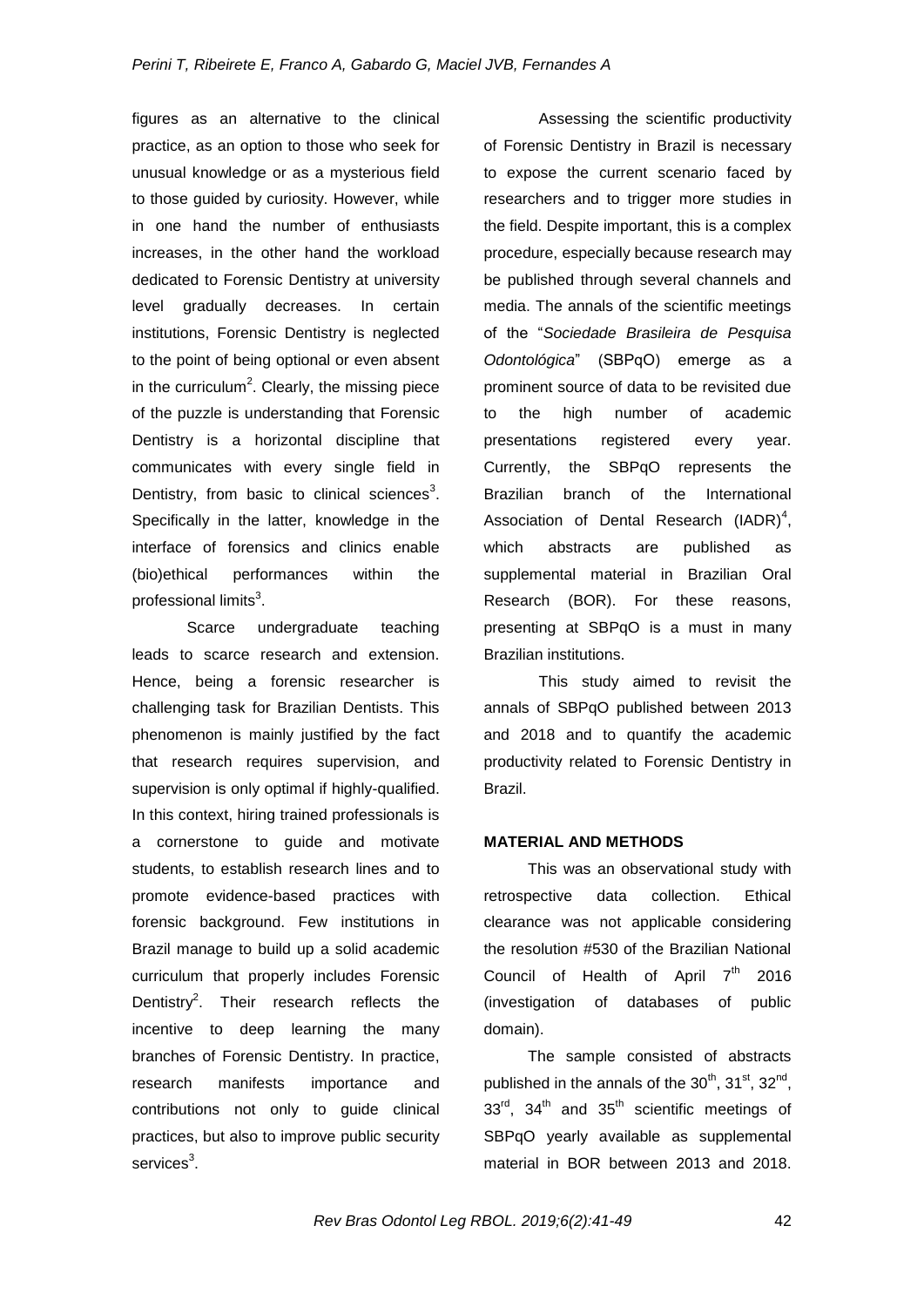figures as an alternative to the clinical practice, as an option to those who seek for unusual knowledge or as a mysterious field to those guided by curiosity. However, while in one hand the number of enthusiasts increases, in the other hand the workload dedicated to Forensic Dentistry at university level gradually decreases. In certain institutions, Forensic Dentistry is neglected to the point of being optional or even absent in the curriculum<sup>2</sup>. Clearly, the missing piece of the puzzle is understanding that Forensic Dentistry is a horizontal discipline that communicates with every single field in Dentistry, from basic to clinical sciences $3$ . Specifically in the latter, knowledge in the interface of forensics and clinics enable (bio)ethical performances within the professional limits $^3$ .

Scarce undergraduate teaching leads to scarce research and extension. Hence, being a forensic researcher is challenging task for Brazilian Dentists. This phenomenon is mainly justified by the fact that research requires supervision, and supervision is only optimal if highly-qualified. In this context, hiring trained professionals is a cornerstone to guide and motivate students, to establish research lines and to promote evidence-based practices with forensic background. Few institutions in Brazil manage to build up a solid academic curriculum that properly includes Forensic Dentistry<sup>2</sup>. Their research reflects the incentive to deep learning the many branches of Forensic Dentistry. In practice, research manifests importance and contributions not only to guide clinical practices, but also to improve public security services $^3$ .

Assessing the scientific productivity of Forensic Dentistry in Brazil is necessary to expose the current scenario faced by researchers and to trigger more studies in the field. Despite important, this is a complex procedure, especially because research may be published through several channels and media. The annals of the scientific meetings of the "*Sociedade Brasileira de Pesquisa Odontológica*" (SBPqO) emerge as a prominent source of data to be revisited due to the high number of academic presentations registered every year. Currently, the SBPqO represents the Brazilian branch of the International Association of Dental Research  $(IADR)^4$ , which abstracts are published as supplemental material in Brazilian Oral Research (BOR). For these reasons, presenting at SBPqO is a must in many Brazilian institutions.

This study aimed to revisit the annals of SBPqO published between 2013 and 2018 and to quantify the academic productivity related to Forensic Dentistry in Brazil.

# **MATERIAL AND METHODS**

This was an observational study with retrospective data collection. Ethical clearance was not applicable considering the resolution #530 of the Brazilian National Council of Health of April 7<sup>th</sup> 2016 (investigation of databases of public domain).

The sample consisted of abstracts published in the annals of the  $30^{th}$ ,  $31^{st}$ ,  $32^{nd}$ ,  $33^{\text{rd}}$ ,  $34^{\text{th}}$  and  $35^{\text{th}}$  scientific meetings of SBPqO yearly available as supplemental material in BOR between 2013 and 2018.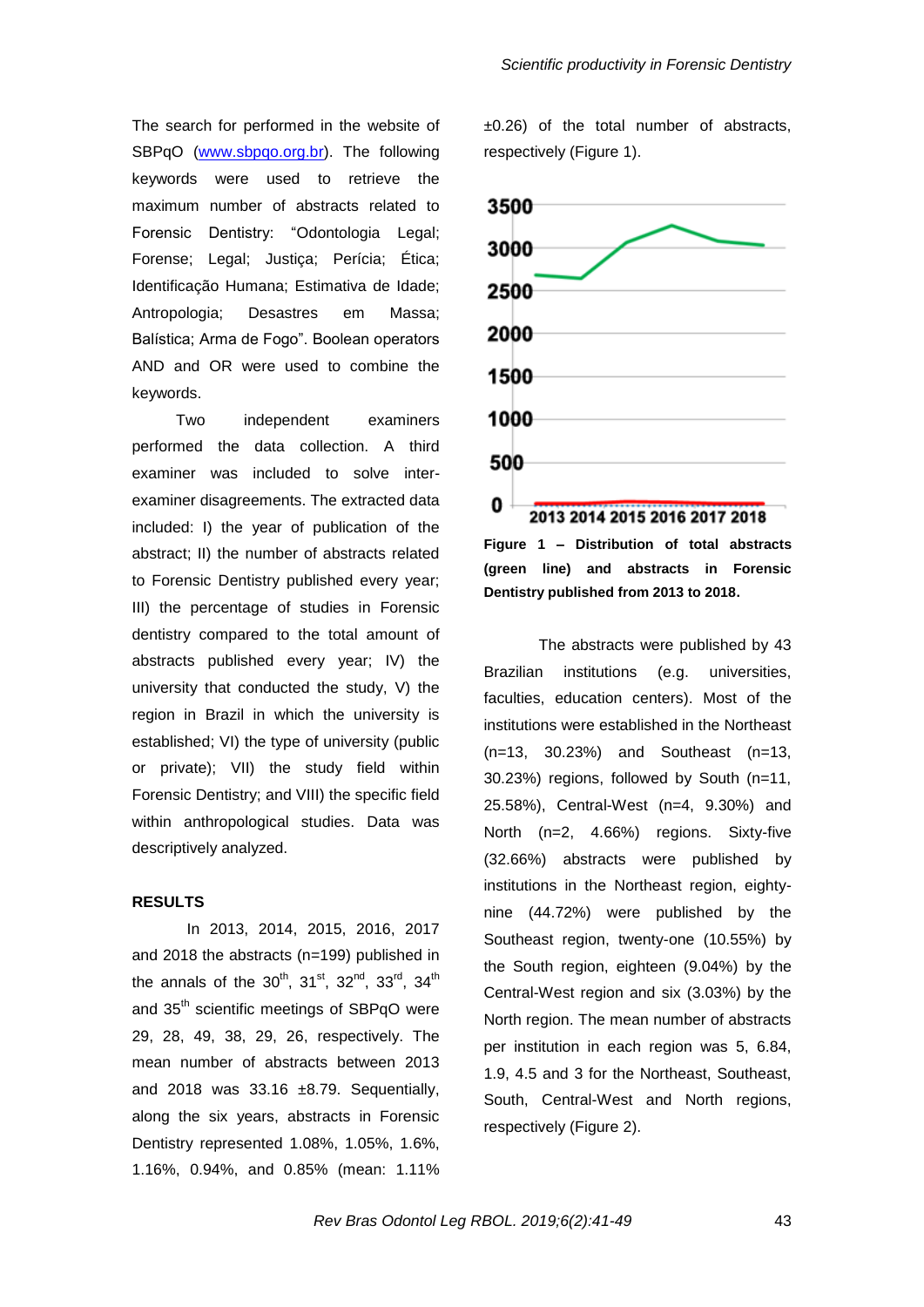The search for performed in the website of SBPqO [\(www.sbpqo.org.br\)](http://www.sbpqo.org.br/). The following keywords were used to retrieve the maximum number of abstracts related to Forensic Dentistry: "Odontologia Legal: Forense; Legal; Justiça; Perícia; Ética; Identificação Humana; Estimativa de Idade; Antropologia; Desastres em Massa; Balística; Arma de Fogo". Boolean operators AND and OR were used to combine the keywords.

Two independent examiners performed the data collection. A third examiner was included to solve interexaminer disagreements. The extracted data included: I) the year of publication of the abstract; II) the number of abstracts related to Forensic Dentistry published every year; III) the percentage of studies in Forensic dentistry compared to the total amount of abstracts published every year; IV) the university that conducted the study, V) the region in Brazil in which the university is established; VI) the type of university (public or private); VII) the study field within Forensic Dentistry; and VIII) the specific field within anthropological studies. Data was descriptively analyzed.

## **RESULTS**

In 2013, 2014, 2015, 2016, 2017 and 2018 the abstracts (n=199) published in the annals of the  $30^{th}$ ,  $31^{st}$ ,  $32^{nd}$ ,  $33^{rd}$ ,  $34^{th}$ and 35<sup>th</sup> scientific meetings of SBPqO were 29, 28, 49, 38, 29, 26, respectively. The mean number of abstracts between 2013 and 2018 was  $33.16 \pm 8.79$ . Sequentially, along the six years, abstracts in Forensic Dentistry represented 1.08%, 1.05%, 1.6%, 1.16%, 0.94%, and 0.85% (mean: 1.11% ±0.26) of the total number of abstracts, respectively (Figure 1).





The abstracts were published by 43 Brazilian institutions (e.g. universities, faculties, education centers). Most of the institutions were established in the Northeast (n=13, 30.23%) and Southeast (n=13, 30.23%) regions, followed by South (n=11, 25.58%), Central-West (n=4, 9.30%) and North (n=2, 4.66%) regions. Sixty-five (32.66%) abstracts were published by institutions in the Northeast region, eightynine (44.72%) were published by the Southeast region, twenty-one (10.55%) by the South region, eighteen (9.04%) by the Central-West region and six (3.03%) by the North region. The mean number of abstracts per institution in each region was 5, 6.84, 1.9, 4.5 and 3 for the Northeast, Southeast, South, Central-West and North regions, respectively (Figure 2).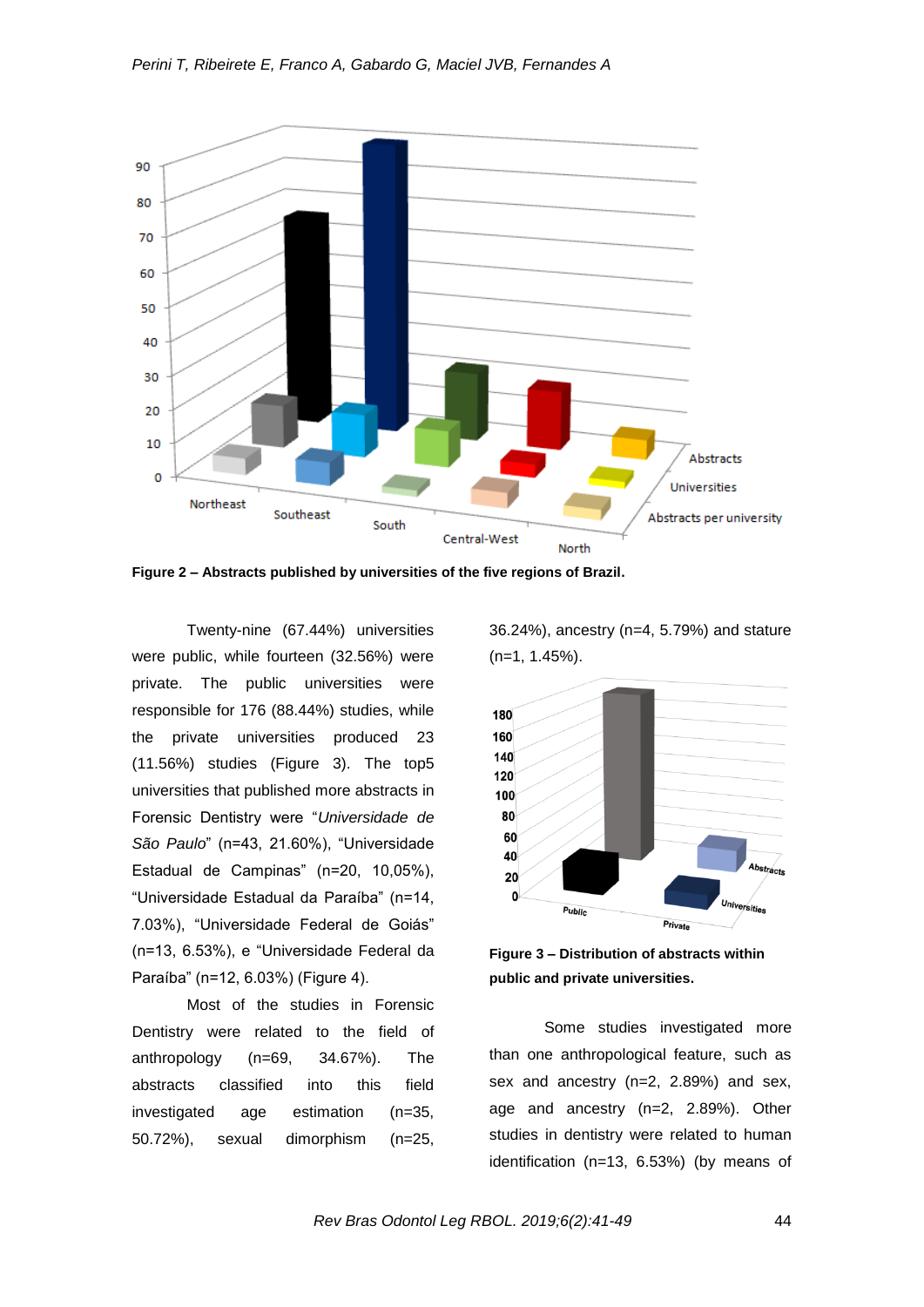

**Figure 2 – Abstracts published by universities of the five regions of Brazil.**

Twenty-nine (67.44%) universities were public, while fourteen (32.56%) were private. The public universities were responsible for 176 (88.44%) studies, while the private universities produced 23 (11.56%) studies (Figure 3). The top5 universities that published more abstracts in Forensic Dentistry were "*Universidade de São Paulo*" (n=43, 21.60%), "Universidade Estadual de Campinas" (n=20, 10,05%), "Universidade Estadual da Paraíba" (n=14, 7.03%), "Universidade Federal de Goiás" (n=13, 6.53%), e "Universidade Federal da Paraíba" (n=12, 6.03%) (Figure 4).

Most of the studies in Forensic Dentistry were related to the field of anthropology (n=69, 34.67%). The abstracts classified into this field investigated age estimation (n=35, 50.72%), sexual dimorphism (n=25,

36.24%), ancestry (n=4, 5.79%) and stature (n=1, 1.45%).



**Figure 3 – Distribution of abstracts within public and private universities.**

Some studies investigated more than one anthropological feature, such as sex and ancestry (n=2, 2.89%) and sex, age and ancestry (n=2, 2.89%). Other studies in dentistry were related to human identification (n=13, 6.53%) (by means of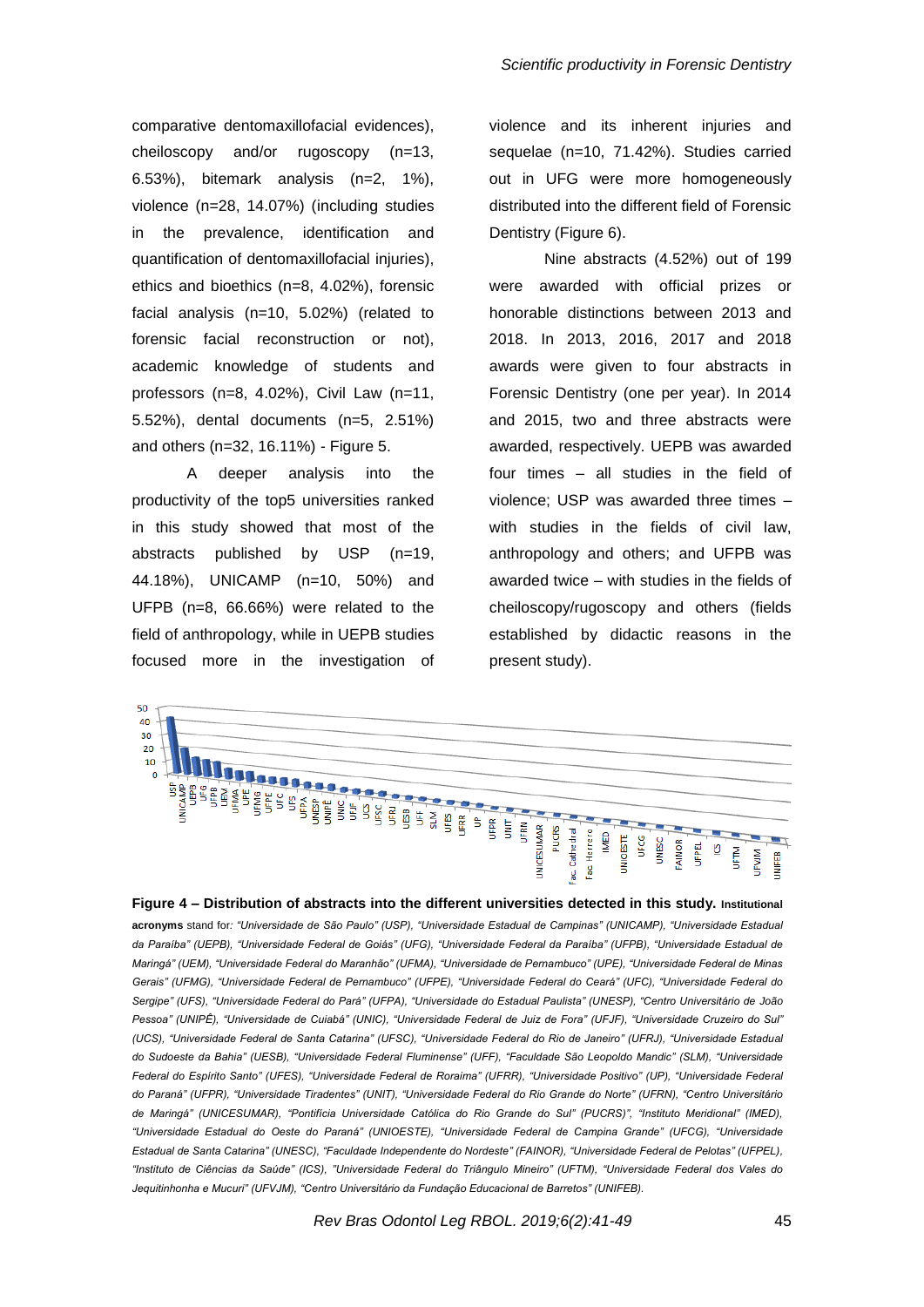comparative dentomaxillofacial evidences), cheiloscopy and/or rugoscopy (n=13, 6.53%), bitemark analysis (n=2, 1%), violence (n=28, 14.07%) (including studies in the prevalence, identification and quantification of dentomaxillofacial injuries), ethics and bioethics (n=8, 4.02%), forensic facial analysis (n=10, 5.02%) (related to forensic facial reconstruction or not), academic knowledge of students and professors (n=8, 4.02%), Civil Law (n=11, 5.52%), dental documents (n=5, 2.51%) and others (n=32, 16.11%) - Figure 5.

A deeper analysis into the productivity of the top5 universities ranked in this study showed that most of the abstracts published by USP (n=19, 44.18%), UNICAMP (n=10, 50%) and UFPB (n=8, 66.66%) were related to the field of anthropology, while in UEPB studies focused more in the investigation of violence and its inherent injuries and sequelae (n=10, 71.42%). Studies carried out in UFG were more homogeneously distributed into the different field of Forensic Dentistry (Figure 6).

Nine abstracts (4.52%) out of 199 were awarded with official prizes or honorable distinctions between 2013 and 2018. In 2013, 2016, 2017 and 2018 awards were given to four abstracts in Forensic Dentistry (one per year). In 2014 and 2015, two and three abstracts were awarded, respectively. UEPB was awarded four times – all studies in the field of violence; USP was awarded three times – with studies in the fields of civil law, anthropology and others; and UFPB was awarded twice – with studies in the fields of cheiloscopy/rugoscopy and others (fields established by didactic reasons in the present study).



**Figure 4 – Distribution of abstracts into the different universities detected in this study. Institutional acronyms** stand for*: "Universidade de São Paulo" (USP), "Universidade Estadual de Campinas" (UNICAMP), "Universidade Estadual da Paraíba" (UEPB), "Universidade Federal de Goiás" (UFG), "Universidade Federal da Paraíba" (UFPB), "Universidade Estadual de Maringá" (UEM), "Universidade Federal do Maranhão" (UFMA), "Universidade de Pernambuco" (UPE), "Universidade Federal de Minas Gerais" (UFMG), "Universidade Federal de Pernambuco" (UFPE), "Universidade Federal do Ceará" (UFC), "Universidade Federal do Sergipe" (UFS), "Universidade Federal do Pará" (UFPA), "Universidade do Estadual Paulista" (UNESP), "Centro Universitário de João Pessoa" (UNIPÊ), "Universidade de Cuiabá" (UNIC), "Universidade Federal de Juiz de Fora" (UFJF), "Universidade Cruzeiro do Sul" (UCS), "Universidade Federal de Santa Catarina" (UFSC), "Universidade Federal do Rio de Janeiro" (UFRJ), "Universidade Estadual do Sudoeste da Bahia" (UESB), "Universidade Federal Fluminense" (UFF), "Faculdade São Leopoldo Mandic" (SLM), "Universidade Federal do Espírito Santo" (UFES), "Universidade Federal de Roraima" (UFRR), "Universidade Positivo" (UP), "Universidade Federal do Paraná" (UFPR), "Universidade Tiradentes" (UNIT), "Universidade Federal do Rio Grande do Norte" (UFRN), "Centro Universitário de Maringá" (UNICESUMAR), "Pontifícia Universidade Católica do Rio Grande do Sul" (PUCRS)", "Instituto Meridional" (IMED), "Universidade Estadual do Oeste do Paraná" (UNIOESTE), "Universidade Federal de Campina Grande" (UFCG), "Universidade Estadual de Santa Catarina" (UNESC), "Faculdade Independente do Nordeste" (FAINOR), "Universidade Federal de Pelotas" (UFPEL), "Instituto de Ciências da Saúde" (ICS), "Universidade Federal do Triângulo Mineiro" (UFTM), "Universidade Federal dos Vales do Jequitinhonha e Mucuri" (UFVJM), "Centro Universitário da Fundação Educacional de Barretos" (UNIFEB).*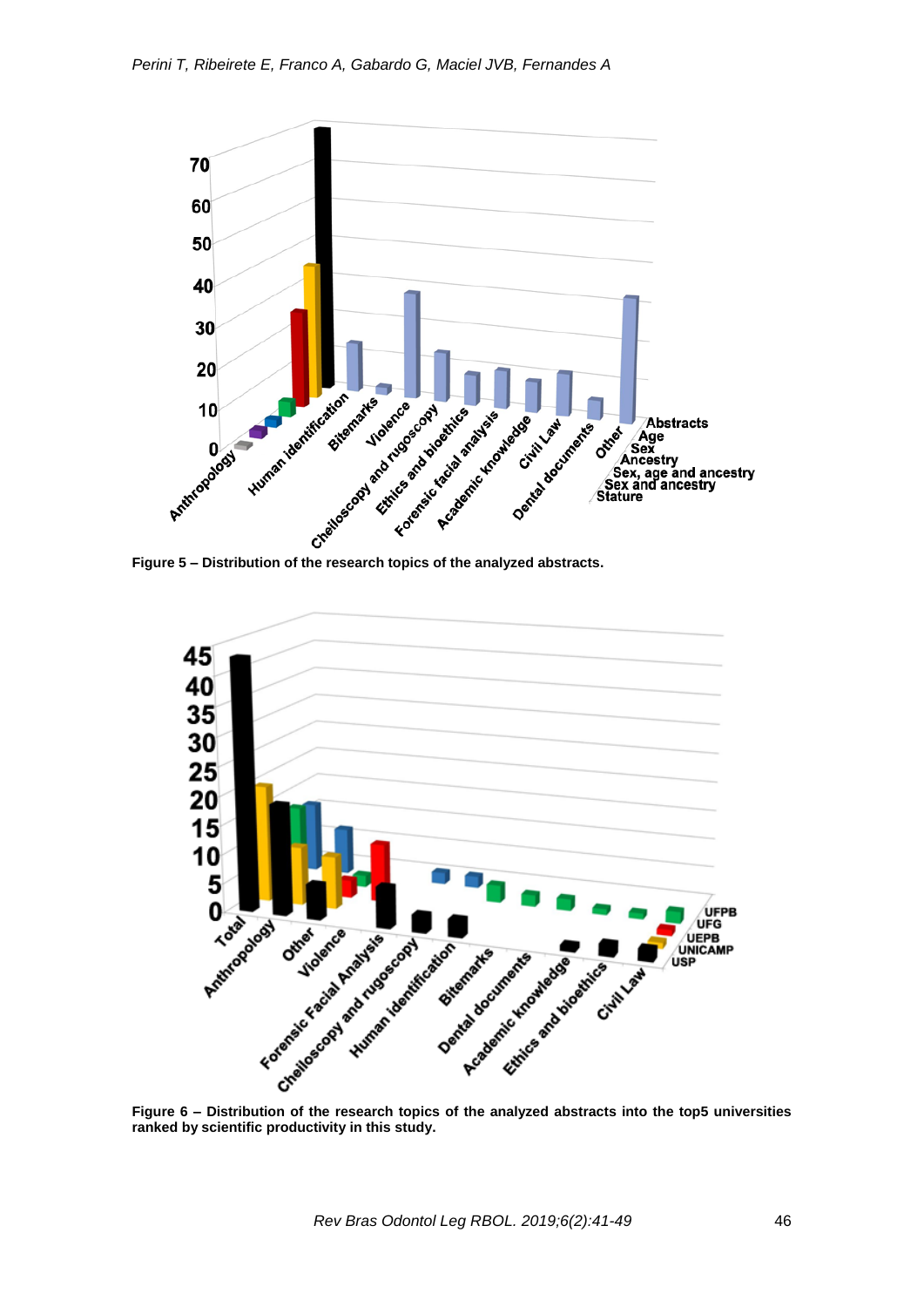



**ranked by scientific productivity in this study.**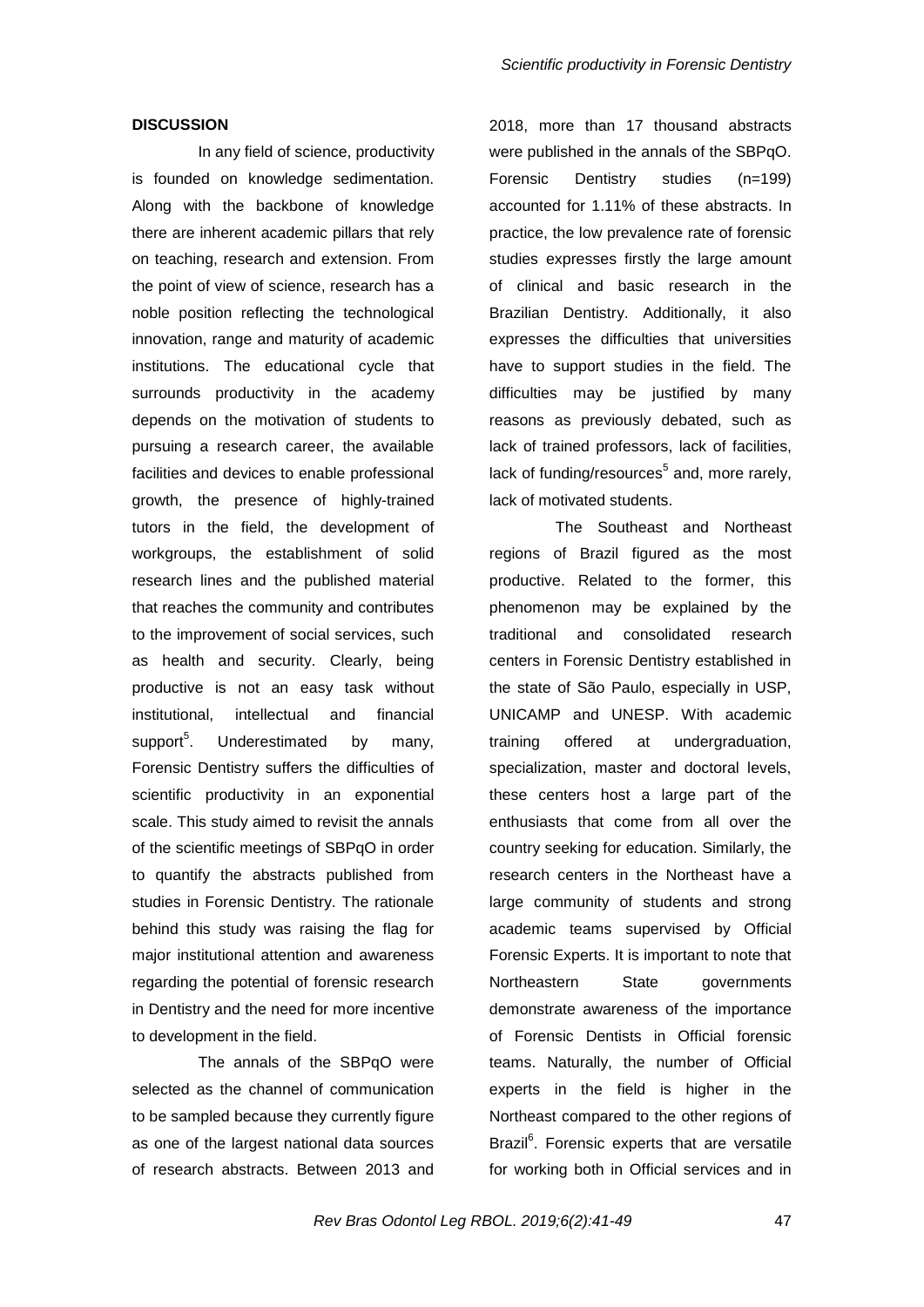## **DISCUSSION**

In any field of science, productivity is founded on knowledge sedimentation. Along with the backbone of knowledge there are inherent academic pillars that rely on teaching, research and extension. From the point of view of science, research has a noble position reflecting the technological innovation, range and maturity of academic institutions. The educational cycle that surrounds productivity in the academy depends on the motivation of students to pursuing a research career, the available facilities and devices to enable professional growth, the presence of highly-trained tutors in the field, the development of workgroups, the establishment of solid research lines and the published material that reaches the community and contributes to the improvement of social services, such as health and security. Clearly, being productive is not an easy task without institutional, intellectual and financial support $5$ . . Underestimated by many, Forensic Dentistry suffers the difficulties of scientific productivity in an exponential scale. This study aimed to revisit the annals of the scientific meetings of SBPqO in order to quantify the abstracts published from studies in Forensic Dentistry. The rationale behind this study was raising the flag for major institutional attention and awareness regarding the potential of forensic research in Dentistry and the need for more incentive to development in the field.

The annals of the SBPqO were selected as the channel of communication to be sampled because they currently figure as one of the largest national data sources of research abstracts. Between 2013 and 2018, more than 17 thousand abstracts were published in the annals of the SBPqO. Forensic Dentistry studies (n=199) accounted for 1.11% of these abstracts. In practice, the low prevalence rate of forensic studies expresses firstly the large amount of clinical and basic research in the Brazilian Dentistry. Additionally, it also expresses the difficulties that universities have to support studies in the field. The difficulties may be justified by many reasons as previously debated, such as lack of trained professors, lack of facilities, lack of funding/resources<sup>5</sup> and, more rarely, lack of motivated students.

The Southeast and Northeast regions of Brazil figured as the most productive. Related to the former, this phenomenon may be explained by the traditional and consolidated research centers in Forensic Dentistry established in the state of São Paulo, especially in USP, UNICAMP and UNESP. With academic training offered at undergraduation, specialization, master and doctoral levels, these centers host a large part of the enthusiasts that come from all over the country seeking for education. Similarly, the research centers in the Northeast have a large community of students and strong academic teams supervised by Official Forensic Experts. It is important to note that Northeastern State governments demonstrate awareness of the importance of Forensic Dentists in Official forensic teams. Naturally, the number of Official experts in the field is higher in the Northeast compared to the other regions of Brazil<sup>6</sup>. Forensic experts that are versatile for working both in Official services and in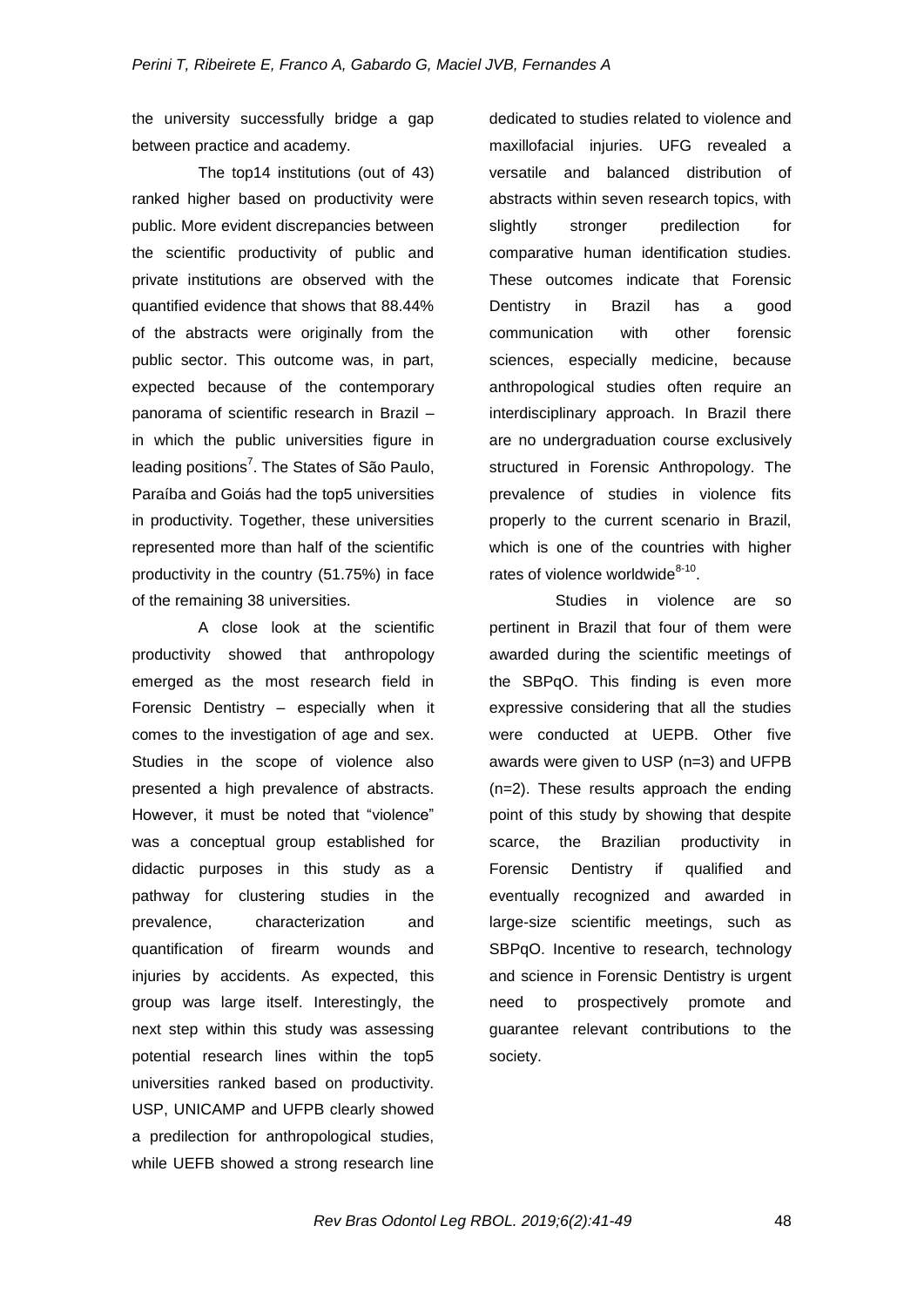the university successfully bridge a gap between practice and academy.

The top14 institutions (out of 43) ranked higher based on productivity were public. More evident discrepancies between the scientific productivity of public and private institutions are observed with the quantified evidence that shows that 88.44% of the abstracts were originally from the public sector. This outcome was, in part, expected because of the contemporary panorama of scientific research in Brazil – in which the public universities figure in leading positions<sup>7</sup>. The States of São Paulo, Paraíba and Goiás had the top5 universities in productivity. Together, these universities represented more than half of the scientific productivity in the country (51.75%) in face of the remaining 38 universities.

A close look at the scientific productivity showed that anthropology emerged as the most research field in Forensic Dentistry – especially when it comes to the investigation of age and sex. Studies in the scope of violence also presented a high prevalence of abstracts. However, it must be noted that "violence" was a conceptual group established for didactic purposes in this study as a pathway for clustering studies in the prevalence, characterization and quantification of firearm wounds and injuries by accidents. As expected, this group was large itself. Interestingly, the next step within this study was assessing potential research lines within the top5 universities ranked based on productivity. USP, UNICAMP and UFPB clearly showed a predilection for anthropological studies, while UEFB showed a strong research line

dedicated to studies related to violence and maxillofacial injuries. UFG revealed a versatile and balanced distribution of abstracts within seven research topics, with slightly stronger predilection for comparative human identification studies. These outcomes indicate that Forensic Dentistry in Brazil has a good communication with other forensic sciences, especially medicine, because anthropological studies often require an interdisciplinary approach. In Brazil there are no undergraduation course exclusively structured in Forensic Anthropology. The prevalence of studies in violence fits properly to the current scenario in Brazil, which is one of the countries with higher rates of violence worldwide<sup>8-10</sup>.

Studies in violence are so pertinent in Brazil that four of them were awarded during the scientific meetings of the SBPqO. This finding is even more expressive considering that all the studies were conducted at UEPB. Other five awards were given to USP (n=3) and UFPB (n=2). These results approach the ending point of this study by showing that despite scarce, the Brazilian productivity in Forensic Dentistry if qualified and eventually recognized and awarded in large-size scientific meetings, such as SBPqO. Incentive to research, technology and science in Forensic Dentistry is urgent need to prospectively promote and guarantee relevant contributions to the society.